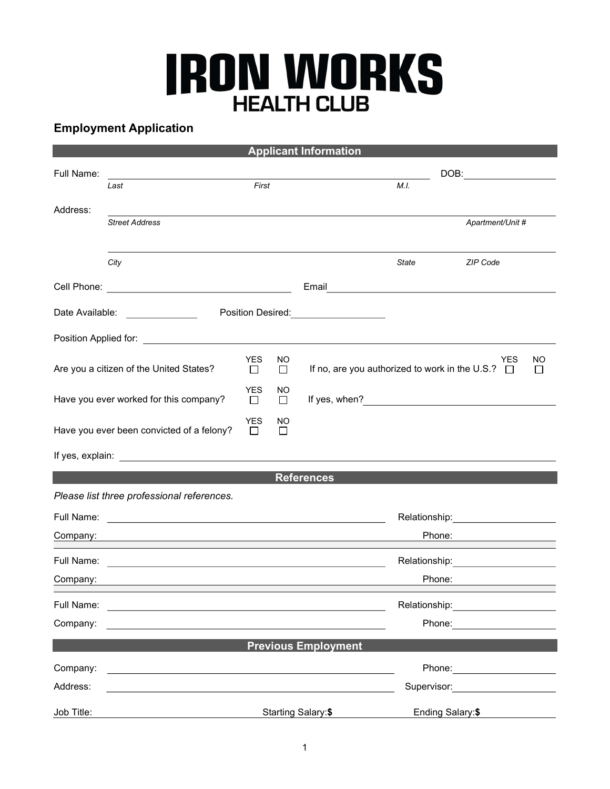## **IRON WORKS**

## Employment Application

| <b>Applicant Information</b>                                                                                                                                                                                                   |                                                                                                                                                                                                                               |           |                |                                                       |                                                                                                                                                                                                                                |                                        |                    |  |  |
|--------------------------------------------------------------------------------------------------------------------------------------------------------------------------------------------------------------------------------|-------------------------------------------------------------------------------------------------------------------------------------------------------------------------------------------------------------------------------|-----------|----------------|-------------------------------------------------------|--------------------------------------------------------------------------------------------------------------------------------------------------------------------------------------------------------------------------------|----------------------------------------|--------------------|--|--|
| Full Name:                                                                                                                                                                                                                     |                                                                                                                                                                                                                               |           |                | DOB:                                                  |                                                                                                                                                                                                                                |                                        |                    |  |  |
|                                                                                                                                                                                                                                | Last                                                                                                                                                                                                                          | First     |                |                                                       | M.I.                                                                                                                                                                                                                           |                                        |                    |  |  |
| Address:                                                                                                                                                                                                                       |                                                                                                                                                                                                                               |           |                |                                                       |                                                                                                                                                                                                                                |                                        |                    |  |  |
|                                                                                                                                                                                                                                | <b>Street Address</b>                                                                                                                                                                                                         |           |                |                                                       |                                                                                                                                                                                                                                | Apartment/Unit #                       |                    |  |  |
|                                                                                                                                                                                                                                |                                                                                                                                                                                                                               |           |                |                                                       |                                                                                                                                                                                                                                |                                        |                    |  |  |
|                                                                                                                                                                                                                                | City                                                                                                                                                                                                                          |           |                |                                                       | State                                                                                                                                                                                                                          | ZIP Code                               |                    |  |  |
|                                                                                                                                                                                                                                |                                                                                                                                                                                                                               |           |                | Email                                                 |                                                                                                                                                                                                                                |                                        |                    |  |  |
| Date Available:                                                                                                                                                                                                                | Position Desired:                                                                                                                                                                                                             |           |                |                                                       |                                                                                                                                                                                                                                |                                        |                    |  |  |
| Position Applied for: The Contract of the Contract of the Contract of the Contract of the Contract of the Contract of the Contract of the Contract of the Contract of the Contract of the Contract of the Contract of the Cont |                                                                                                                                                                                                                               |           |                |                                                       |                                                                                                                                                                                                                                |                                        |                    |  |  |
| Are you a citizen of the United States?                                                                                                                                                                                        |                                                                                                                                                                                                                               | YES.<br>□ | NO.<br>$\Box$  | If no, are you authorized to work in the U.S.? $\Box$ |                                                                                                                                                                                                                                | YES                                    | NO<br>$\mathbf{L}$ |  |  |
| Have you ever worked for this company?                                                                                                                                                                                         |                                                                                                                                                                                                                               |           | NO.<br>$\Box$  |                                                       |                                                                                                                                                                                                                                |                                        |                    |  |  |
| <b>YES</b><br>Have you ever been convicted of a felony?<br>П                                                                                                                                                                   |                                                                                                                                                                                                                               |           | <b>NO</b><br>П |                                                       |                                                                                                                                                                                                                                |                                        |                    |  |  |
|                                                                                                                                                                                                                                |                                                                                                                                                                                                                               |           |                |                                                       |                                                                                                                                                                                                                                |                                        |                    |  |  |
| <b>References</b>                                                                                                                                                                                                              |                                                                                                                                                                                                                               |           |                |                                                       |                                                                                                                                                                                                                                |                                        |                    |  |  |
|                                                                                                                                                                                                                                | Please list three professional references.                                                                                                                                                                                    |           |                |                                                       |                                                                                                                                                                                                                                |                                        |                    |  |  |
| Full Name:                                                                                                                                                                                                                     | <u> 1989 - Andrea Station Barbara, amerikan personal (h. 1989).</u>                                                                                                                                                           |           |                |                                                       | Relationship: _______________________                                                                                                                                                                                          |                                        |                    |  |  |
|                                                                                                                                                                                                                                | Company: experience of the company of the company of the company of the company of the company of the company of the company of the company of the company of the company of the company of the company of the company of the |           |                |                                                       |                                                                                                                                                                                                                                | Phone: <u>____________</u>             |                    |  |  |
| Full Name:                                                                                                                                                                                                                     | <u> 1989 - Johann Stein, marwolaethau a bhann an t-Amhainn an t-Amhainn an t-Amhainn an t-Amhainn an t-Amhainn a</u>                                                                                                          |           |                |                                                       | Relationship: Network of the state of the state of the state of the state of the state of the state of the state of the state of the state of the state of the state of the state of the state of the state of the state of th |                                        |                    |  |  |
| Company:                                                                                                                                                                                                                       |                                                                                                                                                                                                                               |           |                |                                                       | Phone:                                                                                                                                                                                                                         |                                        |                    |  |  |
| Full Name:                                                                                                                                                                                                                     | <u> 1980 - Jan Stein, Amerikaansk politiker († 1908)</u>                                                                                                                                                                      |           |                |                                                       | Relationship: <b>Example 2019</b>                                                                                                                                                                                              |                                        |                    |  |  |
| Company:                                                                                                                                                                                                                       |                                                                                                                                                                                                                               |           |                |                                                       |                                                                                                                                                                                                                                | Phone: <u>______________</u>           |                    |  |  |
|                                                                                                                                                                                                                                |                                                                                                                                                                                                                               |           |                | <b>Previous Employment</b>                            |                                                                                                                                                                                                                                |                                        |                    |  |  |
| Company:                                                                                                                                                                                                                       | and the control of the control of the control of the control of the control of the control of the control of the                                                                                                              |           |                |                                                       |                                                                                                                                                                                                                                |                                        |                    |  |  |
| Address:                                                                                                                                                                                                                       |                                                                                                                                                                                                                               |           |                |                                                       |                                                                                                                                                                                                                                | Supervisor: <u>___________________</u> |                    |  |  |
| Job Title:                                                                                                                                                                                                                     |                                                                                                                                                                                                                               |           |                | Starting Salary:\$                                    | Ending Salary:\$                                                                                                                                                                                                               |                                        |                    |  |  |